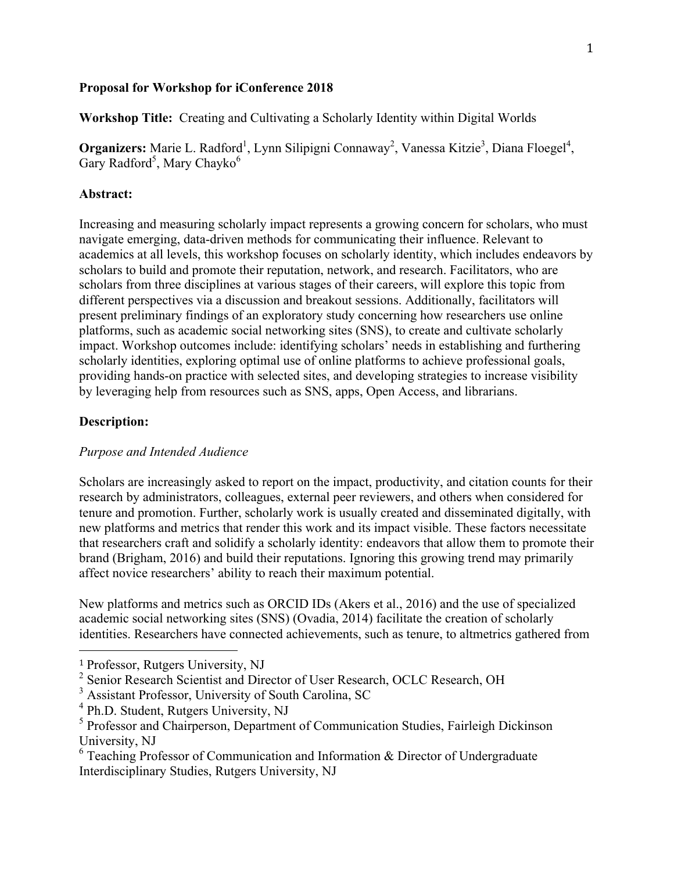## **Proposal for Workshop for iConference 2018**

**Workshop Title:** Creating and Cultivating a Scholarly Identity within Digital Worlds

**Organizers:** Marie L. Radford<sup>1</sup>, Lynn Silipigni Connaway<sup>2</sup>, Vanessa Kitzie<sup>3</sup>, Diana Floegel<sup>4</sup>, Gary Radford<sup>5</sup>, Mary Chayko<sup>6</sup>

## **Abstract:**

Increasing and measuring scholarly impact represents a growing concern for scholars, who must navigate emerging, data-driven methods for communicating their influence. Relevant to academics at all levels, this workshop focuses on scholarly identity, which includes endeavors by scholars to build and promote their reputation, network, and research. Facilitators, who are scholars from three disciplines at various stages of their careers, will explore this topic from different perspectives via a discussion and breakout sessions. Additionally, facilitators will present preliminary findings of an exploratory study concerning how researchers use online platforms, such as academic social networking sites (SNS), to create and cultivate scholarly impact. Workshop outcomes include: identifying scholars' needs in establishing and furthering scholarly identities, exploring optimal use of online platforms to achieve professional goals, providing hands-on practice with selected sites, and developing strategies to increase visibility by leveraging help from resources such as SNS, apps, Open Access, and librarians.

## **Description:**

## *Purpose and Intended Audience*

Scholars are increasingly asked to report on the impact, productivity, and citation counts for their research by administrators, colleagues, external peer reviewers, and others when considered for tenure and promotion. Further, scholarly work is usually created and disseminated digitally, with new platforms and metrics that render this work and its impact visible. These factors necessitate that researchers craft and solidify a scholarly identity: endeavors that allow them to promote their brand (Brigham, 2016) and build their reputations. Ignoring this growing trend may primarily affect novice researchers' ability to reach their maximum potential.

New platforms and metrics such as ORCID IDs (Akers et al., 2016) and the use of specialized academic social networking sites (SNS) (Ovadia, 2014) facilitate the creation of scholarly identities. Researchers have connected achievements, such as tenure, to altmetrics gathered from

 

<sup>1</sup> Professor, Rutgers University, NJ

<sup>&</sup>lt;sup>2</sup> Senior Research Scientist and Director of User Research, OCLC Research, OH

<sup>3</sup> Assistant Professor, University of South Carolina, SC

<sup>4</sup> Ph.D. Student, Rutgers University, NJ

<sup>&</sup>lt;sup>5</sup> Professor and Chairperson, Department of Communication Studies, Fairleigh Dickinson University, NJ

<sup>6</sup> Teaching Professor of Communication and Information & Director of Undergraduate Interdisciplinary Studies, Rutgers University, NJ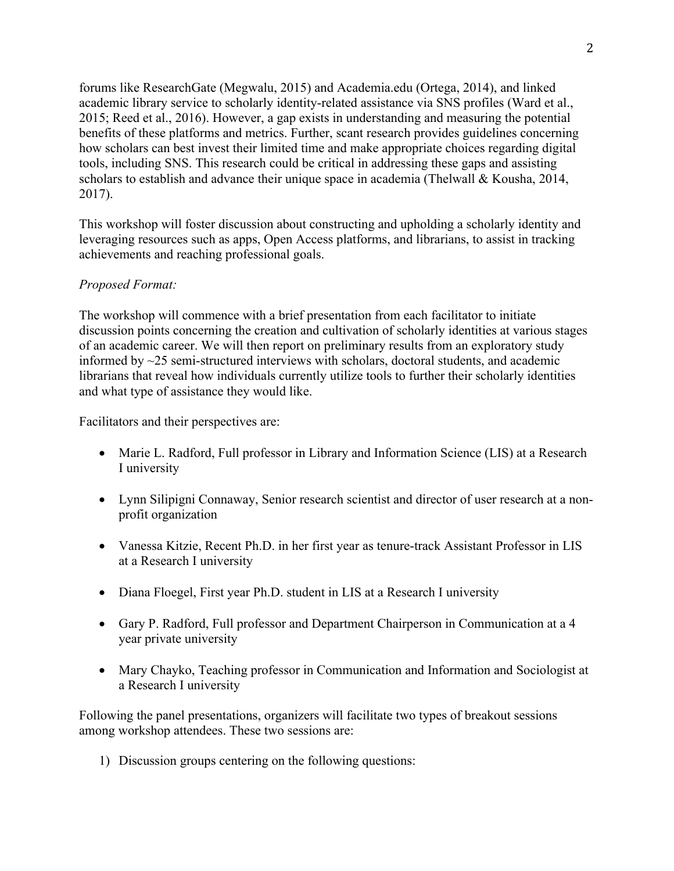forums like ResearchGate (Megwalu, 2015) and Academia.edu (Ortega, 2014), and linked academic library service to scholarly identity-related assistance via SNS profiles (Ward et al., 2015; Reed et al., 2016). However, a gap exists in understanding and measuring the potential benefits of these platforms and metrics. Further, scant research provides guidelines concerning how scholars can best invest their limited time and make appropriate choices regarding digital tools, including SNS. This research could be critical in addressing these gaps and assisting scholars to establish and advance their unique space in academia (Thelwall & Kousha, 2014, 2017).

This workshop will foster discussion about constructing and upholding a scholarly identity and leveraging resources such as apps, Open Access platforms, and librarians, to assist in tracking achievements and reaching professional goals.

# *Proposed Format:*

The workshop will commence with a brief presentation from each facilitator to initiate discussion points concerning the creation and cultivation of scholarly identities at various stages of an academic career. We will then report on preliminary results from an exploratory study informed by ~25 semi-structured interviews with scholars, doctoral students, and academic librarians that reveal how individuals currently utilize tools to further their scholarly identities and what type of assistance they would like.

Facilitators and their perspectives are:

- Marie L. Radford, Full professor in Library and Information Science (LIS) at a Research I university
- Lynn Silipigni Connaway, Senior research scientist and director of user research at a nonprofit organization
- Vanessa Kitzie, Recent Ph.D. in her first year as tenure-track Assistant Professor in LIS at a Research I university
- Diana Floegel, First year Ph.D. student in LIS at a Research I university
- Gary P. Radford, Full professor and Department Chairperson in Communication at a 4 year private university
- Mary Chayko, Teaching professor in Communication and Information and Sociologist at a Research I university

Following the panel presentations, organizers will facilitate two types of breakout sessions among workshop attendees. These two sessions are:

1) Discussion groups centering on the following questions: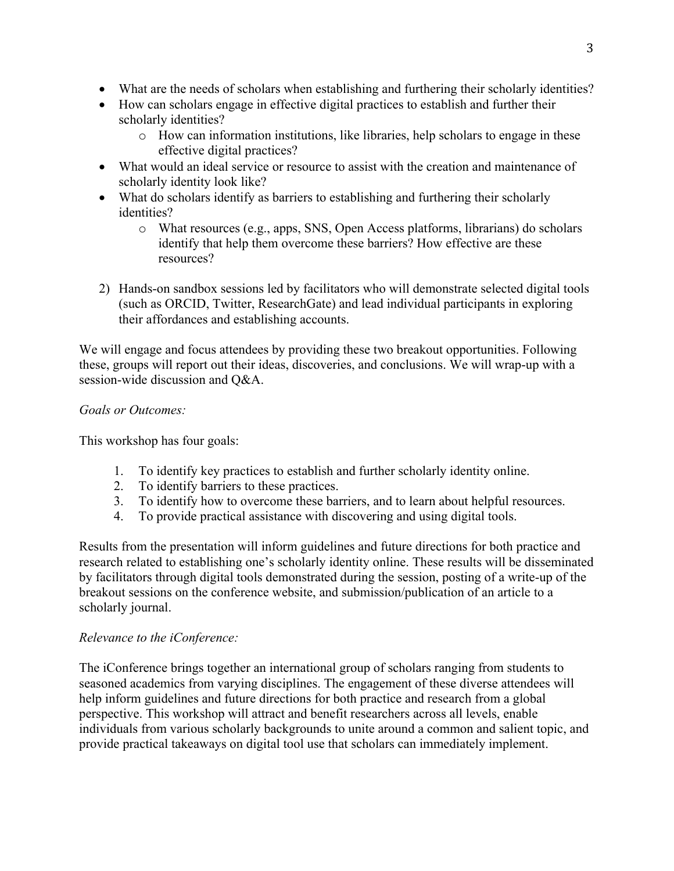- What are the needs of scholars when establishing and furthering their scholarly identities?
- How can scholars engage in effective digital practices to establish and further their scholarly identities?
	- o How can information institutions, like libraries, help scholars to engage in these effective digital practices?
- What would an ideal service or resource to assist with the creation and maintenance of scholarly identity look like?
- What do scholars identify as barriers to establishing and furthering their scholarly identities?
	- o What resources (e.g., apps, SNS, Open Access platforms, librarians) do scholars identify that help them overcome these barriers? How effective are these resources?
- 2) Hands-on sandbox sessions led by facilitators who will demonstrate selected digital tools (such as ORCID, Twitter, ResearchGate) and lead individual participants in exploring their affordances and establishing accounts.

We will engage and focus attendees by providing these two breakout opportunities. Following these, groups will report out their ideas, discoveries, and conclusions. We will wrap-up with a session-wide discussion and Q&A.

# *Goals or Outcomes:*

This workshop has four goals:

- 1. To identify key practices to establish and further scholarly identity online.
- 2. To identify barriers to these practices.
- 3. To identify how to overcome these barriers, and to learn about helpful resources.
- 4. To provide practical assistance with discovering and using digital tools.

Results from the presentation will inform guidelines and future directions for both practice and research related to establishing one's scholarly identity online. These results will be disseminated by facilitators through digital tools demonstrated during the session, posting of a write-up of the breakout sessions on the conference website, and submission/publication of an article to a scholarly journal.

# *Relevance to the iConference:*

The iConference brings together an international group of scholars ranging from students to seasoned academics from varying disciplines. The engagement of these diverse attendees will help inform guidelines and future directions for both practice and research from a global perspective. This workshop will attract and benefit researchers across all levels, enable individuals from various scholarly backgrounds to unite around a common and salient topic, and provide practical takeaways on digital tool use that scholars can immediately implement.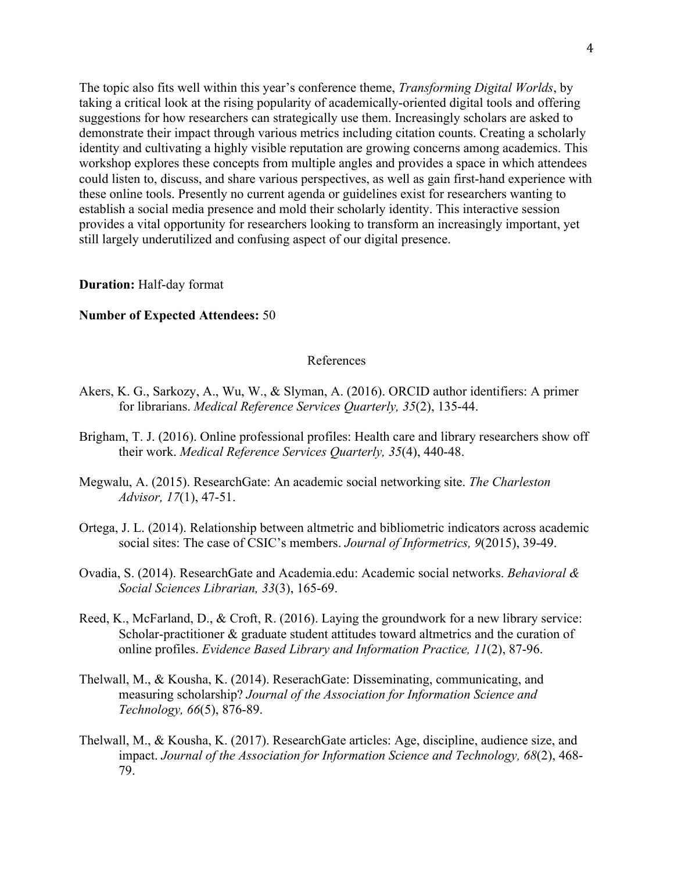The topic also fits well within this year's conference theme, *Transforming Digital Worlds*, by taking a critical look at the rising popularity of academically-oriented digital tools and offering suggestions for how researchers can strategically use them. Increasingly scholars are asked to demonstrate their impact through various metrics including citation counts. Creating a scholarly identity and cultivating a highly visible reputation are growing concerns among academics. This workshop explores these concepts from multiple angles and provides a space in which attendees could listen to, discuss, and share various perspectives, as well as gain first-hand experience with these online tools. Presently no current agenda or guidelines exist for researchers wanting to establish a social media presence and mold their scholarly identity. This interactive session provides a vital opportunity for researchers looking to transform an increasingly important, yet still largely underutilized and confusing aspect of our digital presence.

### **Duration:** Half-day format

### **Number of Expected Attendees:** 50

#### References

- Akers, K. G., Sarkozy, A., Wu, W., & Slyman, A. (2016). ORCID author identifiers: A primer for librarians. *Medical Reference Services Quarterly, 35*(2), 135-44.
- Brigham, T. J. (2016). Online professional profiles: Health care and library researchers show off their work. *Medical Reference Services Quarterly, 35*(4), 440-48.
- Megwalu, A. (2015). ResearchGate: An academic social networking site. *The Charleston Advisor, 17*(1), 47-51.
- Ortega, J. L. (2014). Relationship between altmetric and bibliometric indicators across academic social sites: The case of CSIC's members. *Journal of Informetrics, 9*(2015), 39-49.
- Ovadia, S. (2014). ResearchGate and Academia.edu: Academic social networks. *Behavioral & Social Sciences Librarian, 33*(3), 165-69.
- Reed, K., McFarland, D., & Croft, R. (2016). Laying the groundwork for a new library service: Scholar-practitioner & graduate student attitudes toward altmetrics and the curation of online profiles. *Evidence Based Library and Information Practice, 11*(2), 87-96.
- Thelwall, M., & Kousha, K. (2014). ReserachGate: Disseminating, communicating, and measuring scholarship? *Journal of the Association for Information Science and Technology, 66*(5), 876-89.
- Thelwall, M., & Kousha, K. (2017). ResearchGate articles: Age, discipline, audience size, and impact. *Journal of the Association for Information Science and Technology, 68*(2), 468- 79.